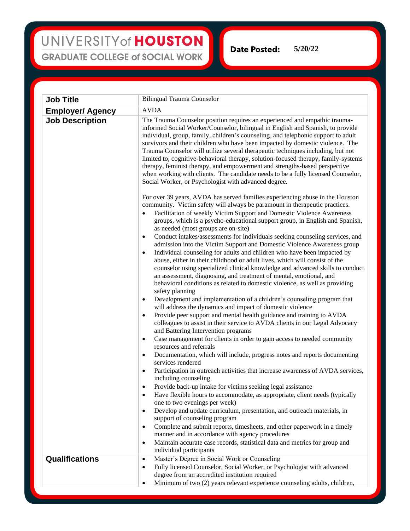## UNIVERSITY of HOUSTON **GRADUATE COLLEGE of SOCIAL WORK**

**Date Posted: 5/20/22**

**Job Title** Bilingual Trauma Counselor **Employer/ Agency** AVDA **Job Description** The Trauma Counselor position requires an experienced and empathic traumainformed Social Worker/Counselor, bilingual in English and Spanish, to provide individual, group, family, children's counseling, and telephonic support to adult survivors and their children who have been impacted by domestic violence. The Trauma Counselor will utilize several therapeutic techniques including, but not limited to, cognitive-behavioral therapy, solution-focused therapy, family-systems therapy, feminist therapy, and empowerment and strengths-based perspective when working with clients. The candidate needs to be a fully licensed Counselor, Social Worker, or Psychologist with advanced degree. For over 39 years, AVDA has served families experiencing abuse in the Houston community. Victim safety will always be paramount in therapeutic practices. • Facilitation of weekly Victim Support and Domestic Violence Awareness groups, which is a psycho-educational support group, in English and Spanish, as needed (most groups are on-site) • Conduct intakes/assessments for individuals seeking counseling services, and admission into the Victim Support and Domestic Violence Awareness group • Individual counseling for adults and children who have been impacted by abuse, either in their childhood or adult lives, which will consist of the counselor using specialized clinical knowledge and advanced skills to conduct an assessment, diagnosing, and treatment of mental, emotional, and behavioral conditions as related to domestic violence, as well as providing safety planning • Development and implementation of a children's counseling program that will address the dynamics and impact of domestic violence • Provide peer support and mental health guidance and training to AVDA colleagues to assist in their service to AVDA clients in our Legal Advocacy and Battering Intervention programs Case management for clients in order to gain access to needed community resources and referrals • Documentation, which will include, progress notes and reports documenting services rendered Participation in outreach activities that increase awareness of AVDA services, including counseling • Provide back-up intake for victims seeking legal assistance • Have flexible hours to accommodate, as appropriate, client needs (typically one to two evenings per week) • Develop and update curriculum, presentation, and outreach materials, in support of counseling program • Complete and submit reports, timesheets, and other paperwork in a timely manner and in accordance with agency procedures • Maintain accurate case records, statistical data and metrics for group and individual participants **Qualifications**  $\bullet$  Master's Degree in Social Work or Counseling • Fully licensed Counselor, Social Worker, or Psychologist with advanced degree from an accredited institution required • Minimum of two (2) years relevant experience counseling adults, children,